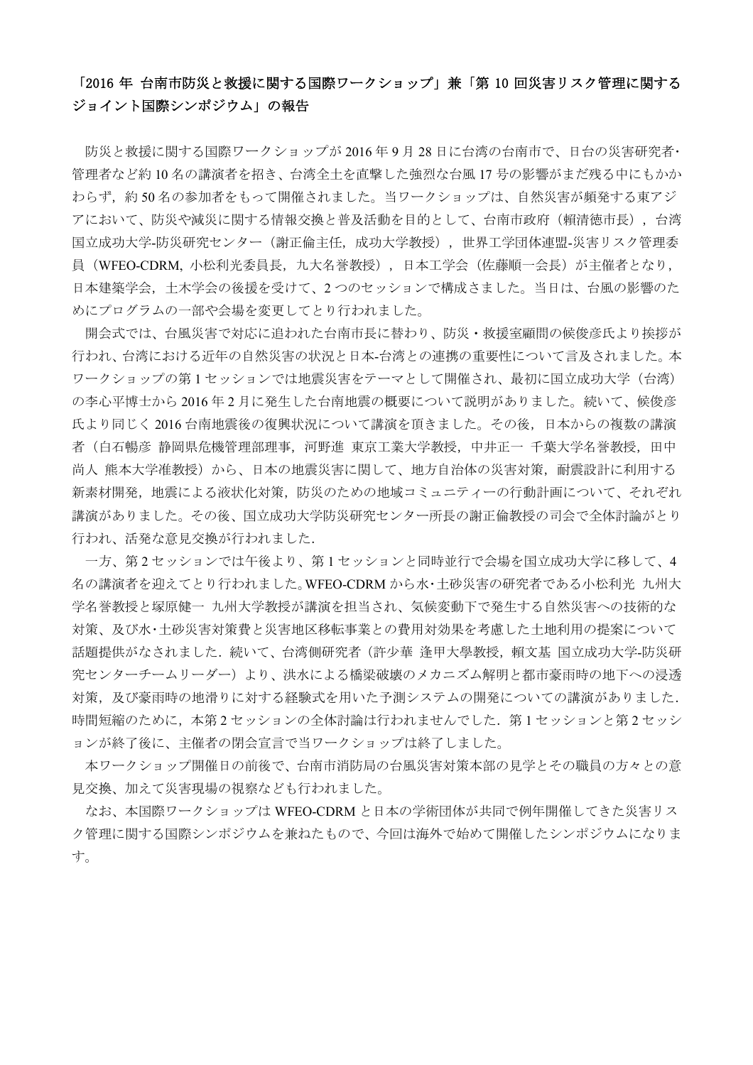# 「2016 年 台南市防災と救援に関する国際ワークショップ」兼「第 10 回災害リスク管理に関する ジョイント国際シンポジウム」の報告

防災と救援に関する国際ワークショップが 2016 年 9 月 28 日に台湾の台南市で、日台の災害研究者・ 管理者など約 10 名の講演者を招き、台湾全土を直撃した強烈な台風 17 号の影響がまだ残る中にもかか わらず,約 50 名の参加者をもって開催されました。当ワークショップは、自然災害が頻発する東アジ アにおいて、防災や減災に関する情報交換と普及活動を目的として、台南市政府(賴清徳市長),台湾 国立成功大学-防災研究センター(謝正倫主任,成功大学教授),世界工学団体連盟-災害リスク管理委 員(WFEO-CDRM, 小松利光委員長,九大名誉教授),日本工学会(佐藤順一会長)が主催者となり, 日本建築学会,土木学会の後援を受けて、2 つのセッションで構成さました。当日は、台風の影響のた めにプログラムの一部や会場を変更してとり行われました。

開会式では、台風災害で対応に追われた台南市長に替わり、防災・救援室顧問の候俊彦氏より挨拶が 行われ、台湾における近年の自然災害の状況と日本-台湾との連携の重要性について言及されました。本 ワークショップの第 1 セッションでは地震災害をテーマとして開催され、最初に国立成功大学(台湾) の李心平博士から 2016 年 2 月に発生した台南地震の概要について説明がありました。続いて、候俊彦 氏より同じく 2016 台南地震後の復興状況について講演を頂きました。その後,日本からの複数の講演 者(白石暢彦 静岡県危機管理部理事,河野進 東京工業大学教授,中井正一 千葉大学名誉教授,田中 尚人 熊本大学准教授)から、日本の地震災害に関して、地方自治体の災害対策,耐震設計に利用する 新素材開発,地震による液状化対策,防災のための地域コミュニティーの行動計画について、それぞれ 講演がありました。その後、国立成功大学防災研究センター所長の謝正倫教授の司会で全体討論がとり 行われ、活発な意見交換が行われました.

一方、第 2 セッションでは午後より、第 1 セッションと同時並行で会場を国立成功大学に移して、4 名の講演者を迎えてとり行われました。WFEO-CDRM から水・土砂災害の研究者である小松利光 九州大 学名誉教授と塚原健一 九州大学教授が講演を担当され、気候変動下で発生する自然災害への技術的な 対策、及び水・土砂災害対策費と災害地区移転事業との費用対効果を考慮した土地利用の提案について 話題提供がなされました.続いて、台湾側研究者(許少華 逢甲大學教授,賴文基 国立成功大学-防災研 究センターチームリーダー)より、洪水による橋梁破壊のメカニズム解明と都市豪雨時の地下への浸透 対策,及び豪雨時の地滑りに対する経験式を用いた予測システムの開発についての講演がありました. 時間短縮のために、本第2セッションの全体討論は行われませんでした. 第1セッションと第2セッシ ョンが終了後に、主催者の閉会宣言で当ワークショップは終了しました。

本ワークショップ開催日の前後で、台南市消防局の台風災害対策本部の見学とその職員の方々との意 見交換、加えて災害現場の視察なども行われました。

なお、本国際ワークショップは WFEO-CDRM と日本の学術団体が共同で例年開催してきた災害リス ク管理に関する国際シンポジウムを兼ねたもので、今回は海外で始めて開催したシンポジウムになりま す。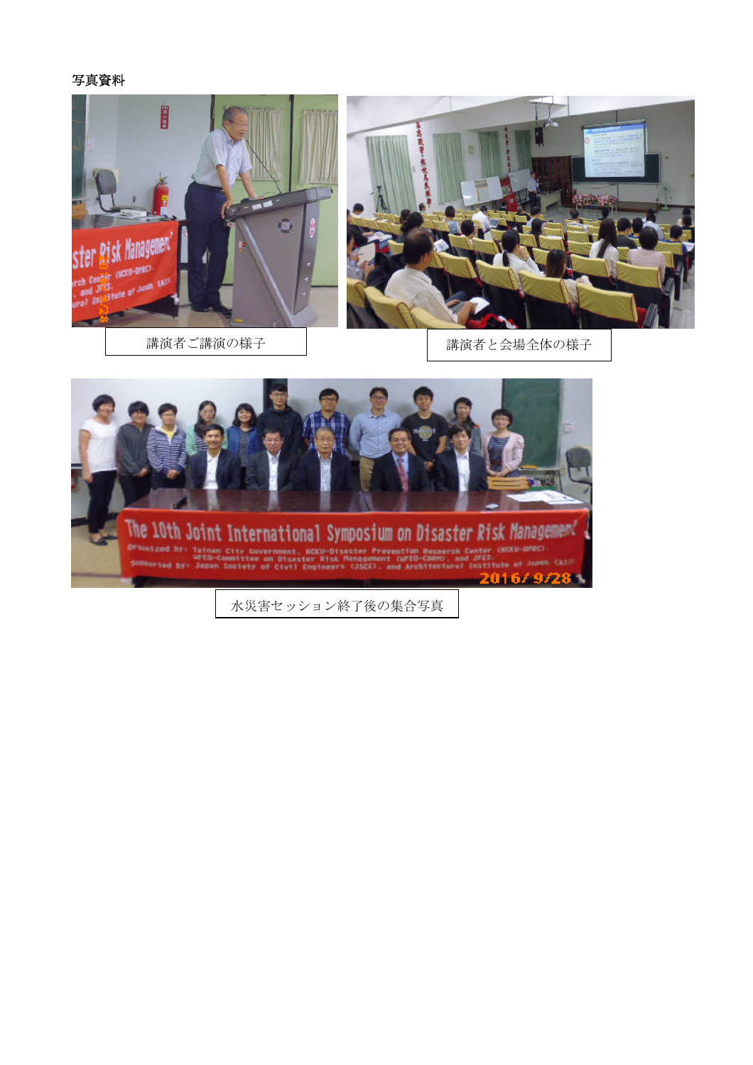#### 写真資料





講演者ご講演の様子 | およう | 講演者と会場全体の様子



水災害セッション終了後の集合写真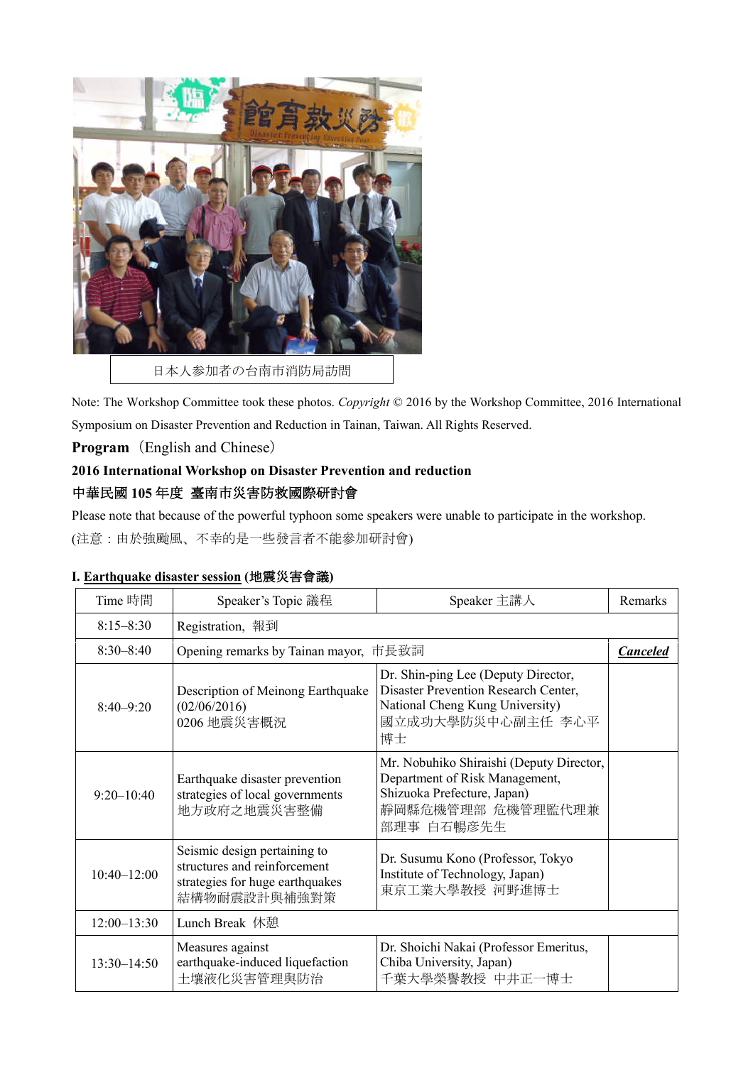

Note: The Workshop Committee took these photos. *Copyright* © 2016 by the Workshop Committee, 2016 International Symposium on Disaster Prevention and Reduction in Tainan, Taiwan. All Rights Reserved.

### **Program**(English and Chinese)

# **2016 International Workshop on Disaster Prevention and reduction** 中華民國 **105** 年度 臺南市災害防救國際研討會

Please note that because of the powerful typhoon some speakers were unable to participate in the workshop.

(注意:由於強颱風、不幸的是一些發言者不能參加研討會)

| I. Earthquake disaster session (地震災害會議) |  |
|-----------------------------------------|--|
|-----------------------------------------|--|

| Time 時間         | Speaker's Topic 議程                                                                                              | Speaker 主講人                                                                                                                                  | Remarks         |
|-----------------|-----------------------------------------------------------------------------------------------------------------|----------------------------------------------------------------------------------------------------------------------------------------------|-----------------|
| $8:15 - 8:30$   | Registration, 報到                                                                                                |                                                                                                                                              |                 |
| $8:30 - 8:40$   | Opening remarks by Tainan mayor, 市長致詞                                                                           |                                                                                                                                              | <b>Canceled</b> |
| $8:40 - 9:20$   | Description of Meinong Earthquake<br>(02/06/2016)<br>0206 地震災害概況                                                | Dr. Shin-ping Lee (Deputy Director,<br>Disaster Prevention Research Center,<br>National Cheng Kung University)<br>國立成功大學防災中心副主任 李心平<br>博士    |                 |
| $9:20 - 10:40$  | Earthquake disaster prevention<br>strategies of local governments<br>地方政府之地震災害整備                                | Mr. Nobuhiko Shiraishi (Deputy Director,<br>Department of Risk Management,<br>Shizuoka Prefecture, Japan)<br>靜岡縣危機管理部 危機管理監代理兼<br>部理事 白石暢彦先生 |                 |
| $10:40 - 12:00$ | Seismic design pertaining to<br>structures and reinforcement<br>strategies for huge earthquakes<br>結構物耐震設計與補強對策 | Dr. Susumu Kono (Professor, Tokyo<br>Institute of Technology, Japan)<br>東京工業大學教授 河野進博士                                                       |                 |
| $12:00 - 13:30$ | Lunch Break 休憩                                                                                                  |                                                                                                                                              |                 |
| $13:30 - 14:50$ | Measures against<br>earthquake-induced liquefaction<br>土壤液化災害管理與防治                                              | Dr. Shoichi Nakai (Professor Emeritus,<br>Chiba University, Japan)<br>千葉大學榮譽教授 中井正一博士                                                        |                 |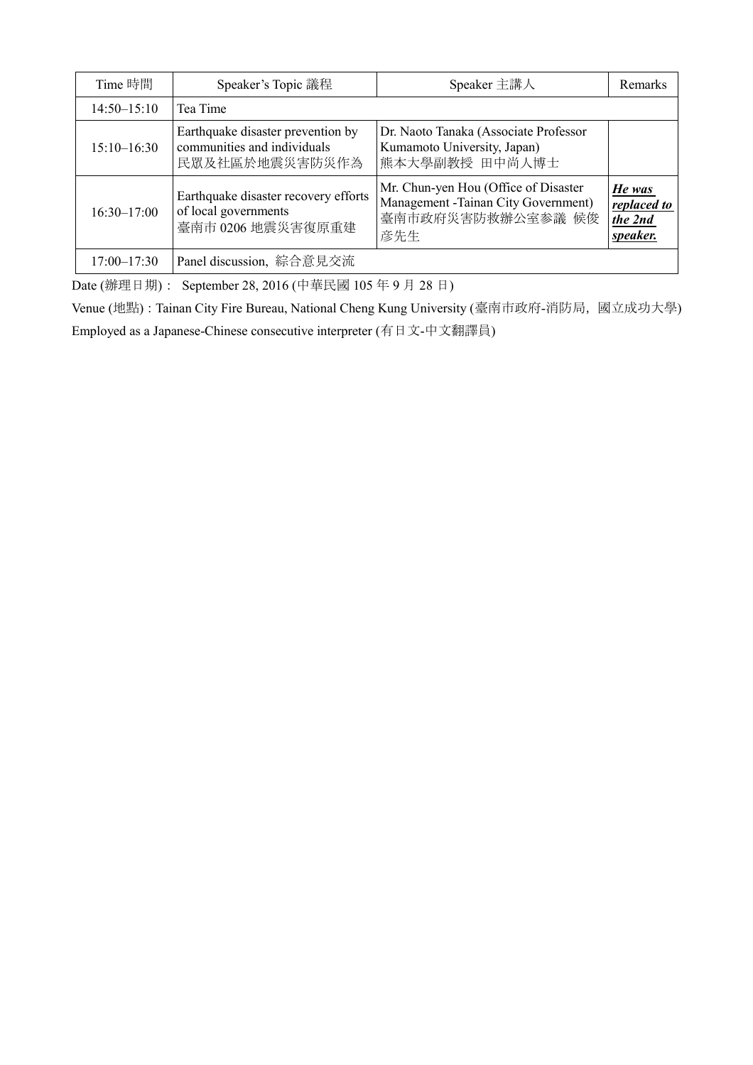| Time 時間         | Speaker's Topic 議程                                                                 | Speaker 主講人                                                                                              | Remarks                                      |
|-----------------|------------------------------------------------------------------------------------|----------------------------------------------------------------------------------------------------------|----------------------------------------------|
| $14:50 - 15:10$ | Tea Time                                                                           |                                                                                                          |                                              |
| $15:10-16:30$   | Earthquake disaster prevention by<br>communities and individuals<br>民眾及社區於地震災害防災作為 | Dr. Naoto Tanaka (Associate Professor<br>Kumamoto University, Japan)<br>熊本大學副教授 田中尚人博士                   |                                              |
| $16:30 - 17:00$ | Earthquake disaster recovery efforts<br>of local governments<br>臺南市 0206 地震災害復原重建  | Mr. Chun-yen Hou (Office of Disaster<br>Management - Tainan City Government)<br>臺南市政府災害防救辦公室参議 候俊<br>彦先生 | He was<br>replaced to<br>the 2nd<br>speaker. |
| $17:00 - 17:30$ | Panel discussion, 綜合意見交流                                                           |                                                                                                          |                                              |

Date (辦理日期): September 28, 2016 (中華民國 105 年 9 月 28 日)

Venue (地點): Tainan City Fire Bureau, National Cheng Kung University (臺南市政府-消防局,國立成功大學) Employed as a Japanese-Chinese consecutive interpreter (有日文-中文翻譯員)